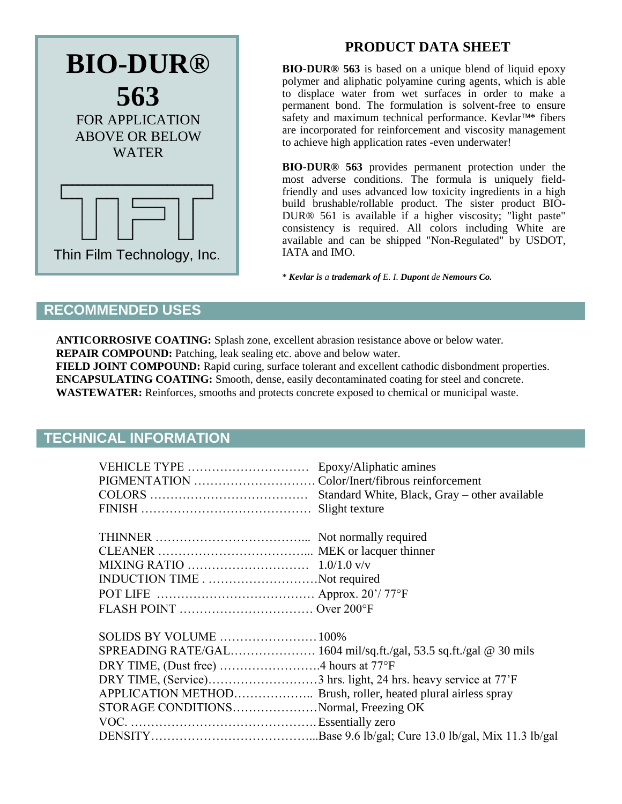

# **PRODUCT DATA SHEET**

**BIO-DUR® 563** is based on a unique blend of liquid epoxy polymer and aliphatic polyamine curing agents, which is able to displace water from wet surfaces in order to make a permanent bond. The formulation is solvent-free to ensure safety and maximum technical performance. Kevlar<sup>TM\*</sup> fibers are incorporated for reinforcement and viscosity management to achieve high application rates -even underwater!

**BIO-DUR® 563** provides permanent protection under the most adverse conditions. The formula is uniquely fieldfriendly and uses advanced low toxicity ingredients in a high build brushable/rollable product. The sister product BIO-DUR® 561 is available if a higher viscosity; "light paste" consistency is required. All colors including White are available and can be shipped "Non-Regulated" by USDOT, IATA and IMO.

\* *Kevlar is a trademark of E. I. Dupont de Nemours Co.*

### **RECOMMENDED USES**

**ANTICORROSIVE COATING:** Splash zone, excellent abrasion resistance above or below water. **REPAIR COMPOUND:** Patching, leak sealing etc. above and below water.

**FIELD JOINT COMPOUND:** Rapid curing, surface tolerant and excellent cathodic disbondment properties. **ENCAPSULATING COATING:** Smooth, dense, easily decontaminated coating for steel and concrete.

**WASTEWATER:** Reinforces, smooths and protects concrete exposed to chemical or municipal waste.

### **TECHNICAL INFORMATION**

|                                                               | Standard White, Black, Gray – other available |
|---------------------------------------------------------------|-----------------------------------------------|
|                                                               |                                               |
|                                                               |                                               |
|                                                               |                                               |
|                                                               |                                               |
|                                                               |                                               |
| INDUCTION TIMENot required                                    |                                               |
|                                                               |                                               |
|                                                               |                                               |
|                                                               |                                               |
|                                                               |                                               |
|                                                               |                                               |
|                                                               |                                               |
|                                                               |                                               |
| APPLICATION METHOD Brush, roller, heated plural airless spray |                                               |
| STORAGE CONDITIONSNormal, Freezing OK                         |                                               |
|                                                               |                                               |
|                                                               |                                               |
|                                                               |                                               |